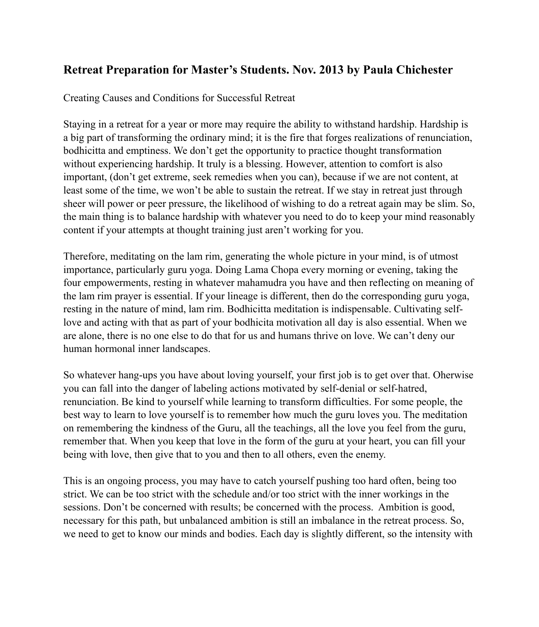# **Retreat Preparation for Master's Students. Nov. 2013 by Paula Chichester**

Creating Causes and Conditions for Successful Retreat

Staying in a retreat for a year or more may require the ability to withstand hardship. Hardship is a big part of transforming the ordinary mind; it is the fire that forges realizations of renunciation, bodhicitta and emptiness. We don't get the opportunity to practice thought transformation without experiencing hardship. It truly is a blessing. However, attention to comfort is also important, (don't get extreme, seek remedies when you can), because if we are not content, at least some of the time, we won't be able to sustain the retreat. If we stay in retreat just through sheer will power or peer pressure, the likelihood of wishing to do a retreat again may be slim. So, the main thing is to balance hardship with whatever you need to do to keep your mind reasonably content if your attempts at thought training just aren't working for you.

Therefore, meditating on the lam rim, generating the whole picture in your mind, is of utmost importance, particularly guru yoga. Doing Lama Chopa every morning or evening, taking the four empowerments, resting in whatever mahamudra you have and then reflecting on meaning of the lam rim prayer is essential. If your lineage is different, then do the corresponding guru yoga, resting in the nature of mind, lam rim. Bodhicitta meditation is indispensable. Cultivating selflove and acting with that as part of your bodhicita motivation all day is also essential. When we are alone, there is no one else to do that for us and humans thrive on love. We can't deny our human hormonal inner landscapes.

So whatever hang-ups you have about loving yourself, your first job is to get over that. Oherwise you can fall into the danger of labeling actions motivated by self-denial or self-hatred, renunciation. Be kind to yourself while learning to transform difficulties. For some people, the best way to learn to love yourself is to remember how much the guru loves you. The meditation on remembering the kindness of the Guru, all the teachings, all the love you feel from the guru, remember that. When you keep that love in the form of the guru at your heart, you can fill your being with love, then give that to you and then to all others, even the enemy.

This is an ongoing process, you may have to catch yourself pushing too hard often, being too strict. We can be too strict with the schedule and/or too strict with the inner workings in the sessions. Don't be concerned with results; be concerned with the process. Ambition is good, necessary for this path, but unbalanced ambition is still an imbalance in the retreat process. So, we need to get to know our minds and bodies. Each day is slightly different, so the intensity with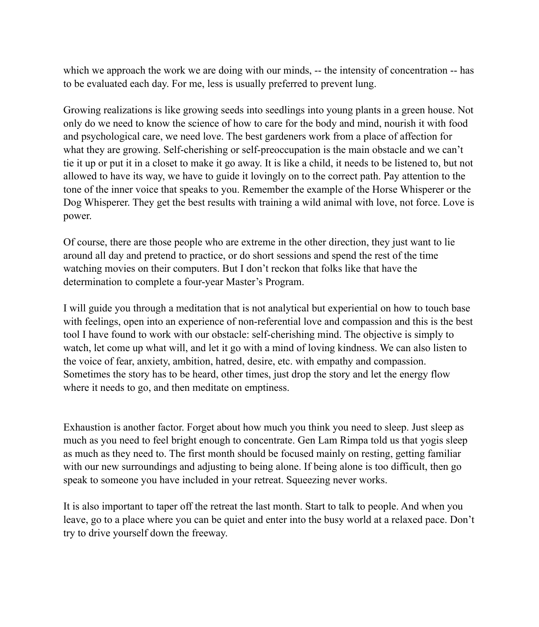which we approach the work we are doing with our minds, -- the intensity of concentration -- has to be evaluated each day. For me, less is usually preferred to prevent lung.

Growing realizations is like growing seeds into seedlings into young plants in a green house. Not only do we need to know the science of how to care for the body and mind, nourish it with food and psychological care, we need love. The best gardeners work from a place of affection for what they are growing. Self-cherishing or self-preoccupation is the main obstacle and we can't tie it up or put it in a closet to make it go away. It is like a child, it needs to be listened to, but not allowed to have its way, we have to guide it lovingly on to the correct path. Pay attention to the tone of the inner voice that speaks to you. Remember the example of the Horse Whisperer or the Dog Whisperer. They get the best results with training a wild animal with love, not force. Love is power.

Of course, there are those people who are extreme in the other direction, they just want to lie around all day and pretend to practice, or do short sessions and spend the rest of the time watching movies on their computers. But I don't reckon that folks like that have the determination to complete a four-year Master's Program.

I will guide you through a meditation that is not analytical but experiential on how to touch base with feelings, open into an experience of non-referential love and compassion and this is the best tool I have found to work with our obstacle: self-cherishing mind. The objective is simply to watch, let come up what will, and let it go with a mind of loving kindness. We can also listen to the voice of fear, anxiety, ambition, hatred, desire, etc. with empathy and compassion. Sometimes the story has to be heard, other times, just drop the story and let the energy flow where it needs to go, and then meditate on emptiness.

Exhaustion is another factor. Forget about how much you think you need to sleep. Just sleep as much as you need to feel bright enough to concentrate. Gen Lam Rimpa told us that yogis sleep as much as they need to. The first month should be focused mainly on resting, getting familiar with our new surroundings and adjusting to being alone. If being alone is too difficult, then go speak to someone you have included in your retreat. Squeezing never works.

It is also important to taper off the retreat the last month. Start to talk to people. And when you leave, go to a place where you can be quiet and enter into the busy world at a relaxed pace. Don't try to drive yourself down the freeway.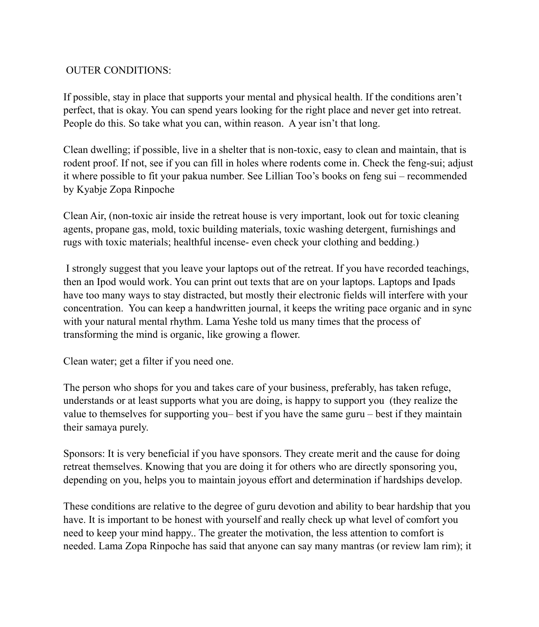## OUTER CONDITIONS:

If possible, stay in place that supports your mental and physical health. If the conditions aren't perfect, that is okay. You can spend years looking for the right place and never get into retreat. People do this. So take what you can, within reason. A year isn't that long.

Clean dwelling; if possible, live in a shelter that is non-toxic, easy to clean and maintain, that is rodent proof. If not, see if you can fill in holes where rodents come in. Check the feng-sui; adjust it where possible to fit your pakua number. See Lillian Too's books on feng sui – recommended by Kyabje Zopa Rinpoche

Clean Air, (non-toxic air inside the retreat house is very important, look out for toxic cleaning agents, propane gas, mold, toxic building materials, toxic washing detergent, furnishings and rugs with toxic materials; healthful incense- even check your clothing and bedding.)

 I strongly suggest that you leave your laptops out of the retreat. If you have recorded teachings, then an Ipod would work. You can print out texts that are on your laptops. Laptops and Ipads have too many ways to stay distracted, but mostly their electronic fields will interfere with your concentration. You can keep a handwritten journal, it keeps the writing pace organic and in sync with your natural mental rhythm. Lama Yeshe told us many times that the process of transforming the mind is organic, like growing a flower.

Clean water; get a filter if you need one.

The person who shops for you and takes care of your business, preferably, has taken refuge, understands or at least supports what you are doing, is happy to support you (they realize the value to themselves for supporting you– best if you have the same guru – best if they maintain their samaya purely.

Sponsors: It is very beneficial if you have sponsors. They create merit and the cause for doing retreat themselves. Knowing that you are doing it for others who are directly sponsoring you, depending on you, helps you to maintain joyous effort and determination if hardships develop.

These conditions are relative to the degree of guru devotion and ability to bear hardship that you have. It is important to be honest with yourself and really check up what level of comfort you need to keep your mind happy.. The greater the motivation, the less attention to comfort is needed. Lama Zopa Rinpoche has said that anyone can say many mantras (or review lam rim); it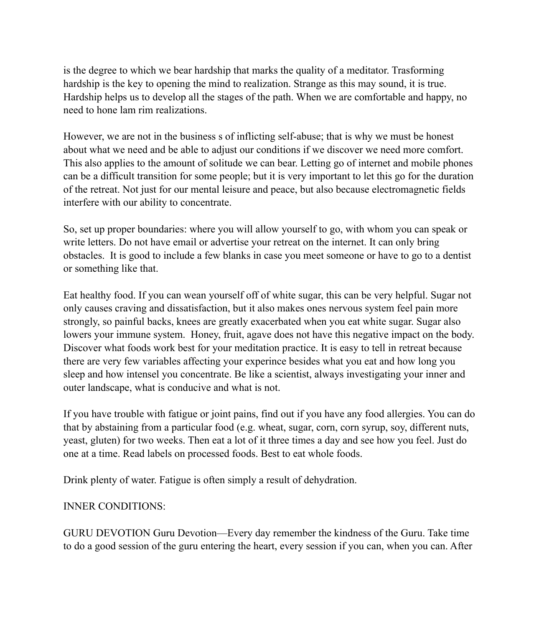is the degree to which we bear hardship that marks the quality of a meditator. Trasforming hardship is the key to opening the mind to realization. Strange as this may sound, it is true. Hardship helps us to develop all the stages of the path. When we are comfortable and happy, no need to hone lam rim realizations.

However, we are not in the business s of inflicting self-abuse; that is why we must be honest about what we need and be able to adjust our conditions if we discover we need more comfort. This also applies to the amount of solitude we can bear. Letting go of internet and mobile phones can be a difficult transition for some people; but it is very important to let this go for the duration of the retreat. Not just for our mental leisure and peace, but also because electromagnetic fields interfere with our ability to concentrate.

So, set up proper boundaries: where you will allow yourself to go, with whom you can speak or write letters. Do not have email or advertise your retreat on the internet. It can only bring obstacles. It is good to include a few blanks in case you meet someone or have to go to a dentist or something like that.

Eat healthy food. If you can wean yourself off of white sugar, this can be very helpful. Sugar not only causes craving and dissatisfaction, but it also makes ones nervous system feel pain more strongly, so painful backs, knees are greatly exacerbated when you eat white sugar. Sugar also lowers your immune system. Honey, fruit, agave does not have this negative impact on the body. Discover what foods work best for your meditation practice. It is easy to tell in retreat because there are very few variables affecting your experince besides what you eat and how long you sleep and how intensel you concentrate. Be like a scientist, always investigating your inner and outer landscape, what is conducive and what is not.

If you have trouble with fatigue or joint pains, find out if you have any food allergies. You can do that by abstaining from a particular food (e.g. wheat, sugar, corn, corn syrup, soy, different nuts, yeast, gluten) for two weeks. Then eat a lot of it three times a day and see how you feel. Just do one at a time. Read labels on processed foods. Best to eat whole foods.

Drink plenty of water. Fatigue is often simply a result of dehydration.

## INNER CONDITIONS:

GURU DEVOTION Guru Devotion—Every day remember the kindness of the Guru. Take time to do a good session of the guru entering the heart, every session if you can, when you can. After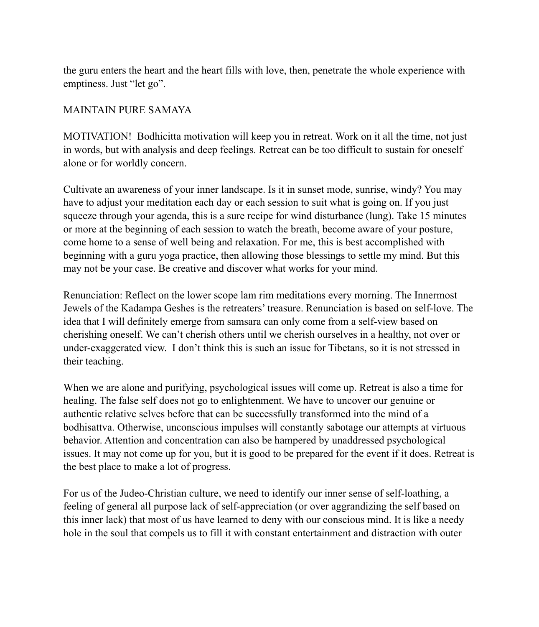the guru enters the heart and the heart fills with love, then, penetrate the whole experience with emptiness. Just "let go".

#### MAINTAIN PURE SAMAYA

MOTIVATION! Bodhicitta motivation will keep you in retreat. Work on it all the time, not just in words, but with analysis and deep feelings. Retreat can be too difficult to sustain for oneself alone or for worldly concern.

Cultivate an awareness of your inner landscape. Is it in sunset mode, sunrise, windy? You may have to adjust your meditation each day or each session to suit what is going on. If you just squeeze through your agenda, this is a sure recipe for wind disturbance (lung). Take 15 minutes or more at the beginning of each session to watch the breath, become aware of your posture, come home to a sense of well being and relaxation. For me, this is best accomplished with beginning with a guru yoga practice, then allowing those blessings to settle my mind. But this may not be your case. Be creative and discover what works for your mind.

Renunciation: Reflect on the lower scope lam rim meditations every morning. The Innermost Jewels of the Kadampa Geshes is the retreaters' treasure. Renunciation is based on self-love. The idea that I will definitely emerge from samsara can only come from a self-view based on cherishing oneself. We can't cherish others until we cherish ourselves in a healthy, not over or under-exaggerated view. I don't think this is such an issue for Tibetans, so it is not stressed in their teaching.

When we are alone and purifying, psychological issues will come up. Retreat is also a time for healing. The false self does not go to enlightenment. We have to uncover our genuine or authentic relative selves before that can be successfully transformed into the mind of a bodhisattva. Otherwise, unconscious impulses will constantly sabotage our attempts at virtuous behavior. Attention and concentration can also be hampered by unaddressed psychological issues. It may not come up for you, but it is good to be prepared for the event if it does. Retreat is the best place to make a lot of progress.

For us of the Judeo-Christian culture, we need to identify our inner sense of self-loathing, a feeling of general all purpose lack of self-appreciation (or over aggrandizing the self based on this inner lack) that most of us have learned to deny with our conscious mind. It is like a needy hole in the soul that compels us to fill it with constant entertainment and distraction with outer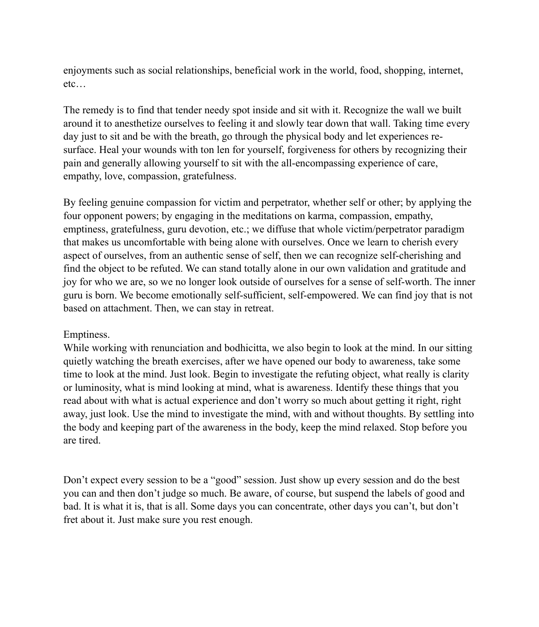enjoyments such as social relationships, beneficial work in the world, food, shopping, internet, etc…

The remedy is to find that tender needy spot inside and sit with it. Recognize the wall we built around it to anesthetize ourselves to feeling it and slowly tear down that wall. Taking time every day just to sit and be with the breath, go through the physical body and let experiences resurface. Heal your wounds with ton len for yourself, forgiveness for others by recognizing their pain and generally allowing yourself to sit with the all-encompassing experience of care, empathy, love, compassion, gratefulness.

By feeling genuine compassion for victim and perpetrator, whether self or other; by applying the four opponent powers; by engaging in the meditations on karma, compassion, empathy, emptiness, gratefulness, guru devotion, etc.; we diffuse that whole victim/perpetrator paradigm that makes us uncomfortable with being alone with ourselves. Once we learn to cherish every aspect of ourselves, from an authentic sense of self, then we can recognize self-cherishing and find the object to be refuted. We can stand totally alone in our own validation and gratitude and joy for who we are, so we no longer look outside of ourselves for a sense of self-worth. The inner guru is born. We become emotionally self-sufficient, self-empowered. We can find joy that is not based on attachment. Then, we can stay in retreat.

#### Emptiness.

While working with renunciation and bodhicitta, we also begin to look at the mind. In our sitting quietly watching the breath exercises, after we have opened our body to awareness, take some time to look at the mind. Just look. Begin to investigate the refuting object, what really is clarity or luminosity, what is mind looking at mind, what is awareness. Identify these things that you read about with what is actual experience and don't worry so much about getting it right, right away, just look. Use the mind to investigate the mind, with and without thoughts. By settling into the body and keeping part of the awareness in the body, keep the mind relaxed. Stop before you are tired.

Don't expect every session to be a "good" session. Just show up every session and do the best you can and then don't judge so much. Be aware, of course, but suspend the labels of good and bad. It is what it is, that is all. Some days you can concentrate, other days you can't, but don't fret about it. Just make sure you rest enough.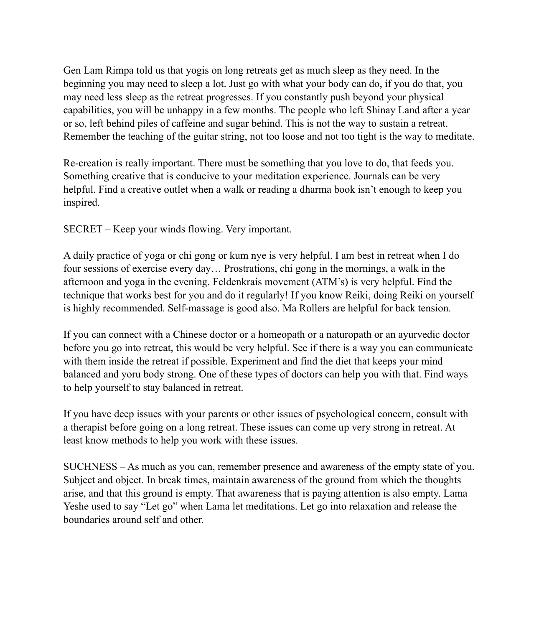Gen Lam Rimpa told us that yogis on long retreats get as much sleep as they need. In the beginning you may need to sleep a lot. Just go with what your body can do, if you do that, you may need less sleep as the retreat progresses. If you constantly push beyond your physical capabilities, you will be unhappy in a few months. The people who left Shinay Land after a year or so, left behind piles of caffeine and sugar behind. This is not the way to sustain a retreat. Remember the teaching of the guitar string, not too loose and not too tight is the way to meditate.

Re-creation is really important. There must be something that you love to do, that feeds you. Something creative that is conducive to your meditation experience. Journals can be very helpful. Find a creative outlet when a walk or reading a dharma book isn't enough to keep you inspired.

SECRET – Keep your winds flowing. Very important.

A daily practice of yoga or chi gong or kum nye is very helpful. I am best in retreat when I do four sessions of exercise every day… Prostrations, chi gong in the mornings, a walk in the afternoon and yoga in the evening. Feldenkrais movement (ATM's) is very helpful. Find the technique that works best for you and do it regularly! If you know Reiki, doing Reiki on yourself is highly recommended. Self-massage is good also. Ma Rollers are helpful for back tension.

If you can connect with a Chinese doctor or a homeopath or a naturopath or an ayurvedic doctor before you go into retreat, this would be very helpful. See if there is a way you can communicate with them inside the retreat if possible. Experiment and find the diet that keeps your mind balanced and yoru body strong. One of these types of doctors can help you with that. Find ways to help yourself to stay balanced in retreat.

If you have deep issues with your parents or other issues of psychological concern, consult with a therapist before going on a long retreat. These issues can come up very strong in retreat. At least know methods to help you work with these issues.

SUCHNESS – As much as you can, remember presence and awareness of the empty state of you. Subject and object. In break times, maintain awareness of the ground from which the thoughts arise, and that this ground is empty. That awareness that is paying attention is also empty. Lama Yeshe used to say "Let go" when Lama let meditations. Let go into relaxation and release the boundaries around self and other.